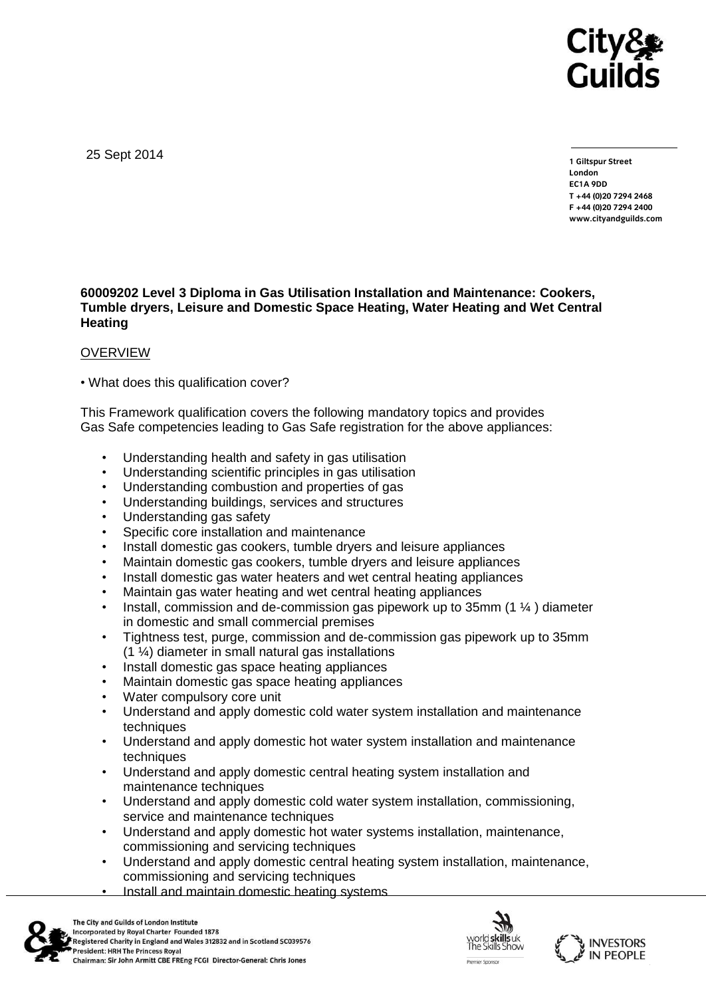

25 Sept 2014

**1 Giltspur Street EC1A 9DD**  $T + 44 (0)20 7294 2468$ **T +44 (0)20 7294 246[8](http://www.cityandguilds.com/) F +44 (0)20 7294 2400 [www.cityandguilds.com](http://www.cityandguilds.com/)**

## **60009202 Level 3 Diploma in Gas Utilisation Installation and Maintenance: Cookers, Tumble dryers, Leisure and Domestic Space Heating, Water Heating and Wet Central Heating**

## **OVERVIEW**

• What does this qualification cover?

This Framework qualification covers the following mandatory topics and provides Gas Safe competencies leading to Gas Safe registration for the above appliances:

- Understanding health and safety in gas utilisation
- Understanding scientific principles in gas utilisation
- Understanding combustion and properties of gas
- Understanding buildings, services and structures
- Understanding gas safety
- Specific core installation and maintenance
- Install domestic gas cookers, tumble dryers and leisure appliances
- Maintain domestic gas cookers, tumble dryers and leisure appliances
- Install domestic gas water heaters and wet central heating appliances
- Maintain gas water heating and wet central heating appliances
- Install, commission and de-commission gas pipework up to 35mm (1 ¼ ) diameter in domestic and small commercial premises
- Tightness test, purge, commission and de-commission gas pipework up to 35mm (1 ¼) diameter in small natural gas installations
- Install domestic gas space heating appliances
- Maintain domestic gas space heating appliances
- Water compulsory core unit
- Understand and apply domestic cold water system installation and maintenance techniques
- Understand and apply domestic hot water system installation and maintenance techniques
- Understand and apply domestic central heating system installation and maintenance techniques
- Understand and apply domestic cold water system installation, commissioning, service and maintenance techniques
- Understand and apply domestic hot water systems installation, maintenance, commissioning and servicing techniques
- Understand and apply domestic central heating system installation, maintenance, commissioning and servicing techniques
- Install and maintain domestic heating systems